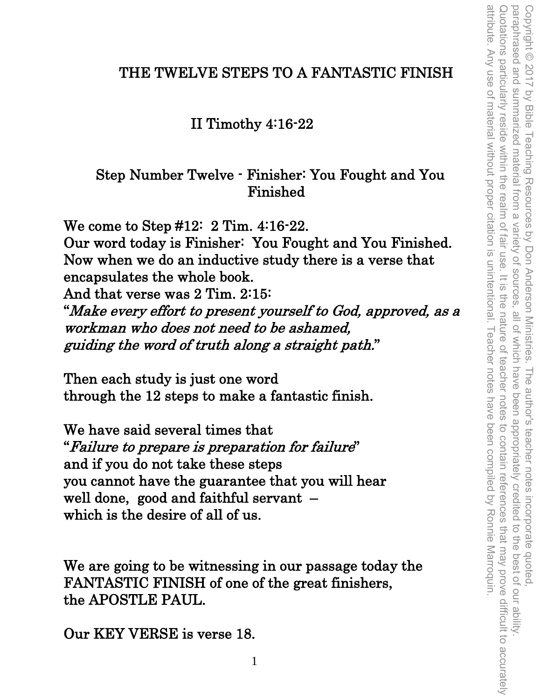# THE TWELVE STEPS TO A FANTASTIC FINISH

# II Timothy 4:16-22

## Step Number Twelve - Finisher: You Fought and You Finished

We come to Step #12: 2 Tim. 4:16-22. Our word today is Finisher: You Fought and You Finished. Now when we do an inductive study there is a verse that encapsulates the whole book. And that verse was 2 Tim. 2:15: "Make every effort to present yourself to God, approved, as a workman who does not need to be ashamed, guiding the word of truth along a straight path."

Then each study is just one word through the 12 steps to make a fantastic finish.

We have said several times that "Failure to prepare is preparation for failure" and if you do not take these steps you cannot have the guarantee that you will hear well done, good and faithful servant – which is the desire of all of us.

We are going to be witnessing in our passage today the FANTASTIC FINISH of one of the great finishers, the APOSTLE PAUL.

Our KEY VERSE is verse 18.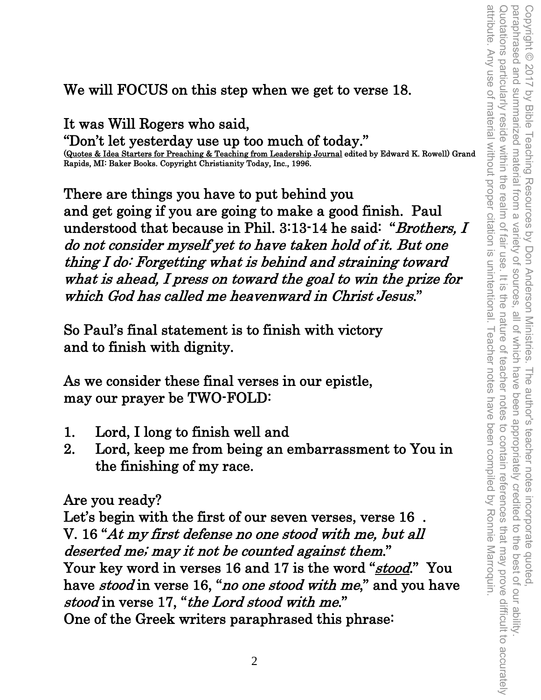We will FOCUS on this step when we get to verse 18.

It was Will Rogers who said, "Don't let yesterday use up too much of today."<br>(Quotes & Idea Starters for Preaching & Teaching from Leadership Journal edited by Edward K. Rowell) Grand Rapids, MI: Baker Books. Copyright Christianity Today, Inc., 1996.

There are things you have to put behind you and get going if you are going to make a good finish. Paul understood that because in Phil. 3:13-14 he said: "Brothers, I do not consider myself yet to have taken hold of it. But one thing I do: Forgetting what is behind and straining toward what is ahead, I press on toward the goal to win the prize for which God has called me heavenward in Christ Jesus."

So Paul's final statement is to finish with victory and to finish with dignity.

As we consider these final verses in our epistle, may our prayer be TWO-FOLD:

- 1. Lord, I long to finish well and
- 2. Lord, keep me from being an embarrassment to You in the finishing of my race.

Are you ready?

Let's begin with the first of our seven verses, verse 16 . V. 16 "At my first defense no one stood with me, but all deserted me; may it not be counted against them." Your key word in verses 16 and 17 is the word "stood." You have *stood* in verse 16, "*no one stood with me*," and you have stood in verse 17, "the Lord stood with me." One of the Greek writers paraphrased this phrase: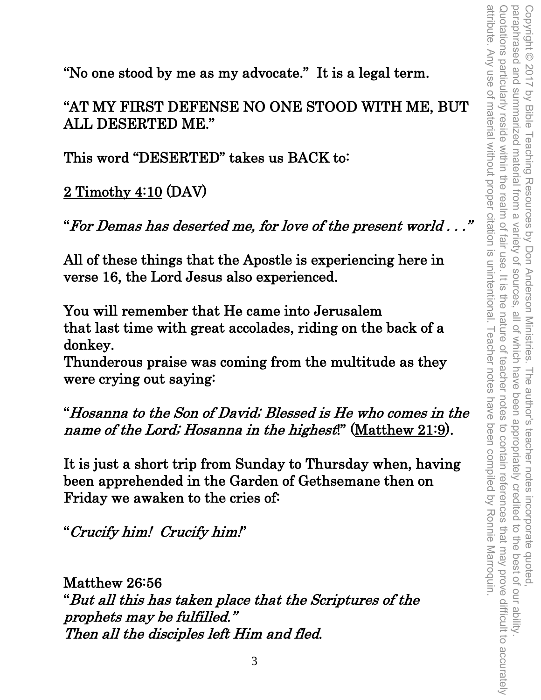attribute. Any use of material without proper citation is unintentional. Teacher notes have been compiled by Ronnie Marroquin. Quotations particularly reside within the realm of fair use. It is Copyright © 2017 by Bible Teaching Resources by Don Anderson Ministries. The author's teacher notes incorporate quoted,<br>paraphrased and summarized material from a variety of sources, all of which have been appropriately c attribute. Any use of material without proper citation is unintentional. Teacher notes have been compiled by Ronnie Marroquin. Quotations particularly reside within the realm of fair use. It is the nature of teacher notes to contain references that may prove difficult to accurately paraphrased and summarized material from a variety of sources, all of which have been appropriately credited to the best of our ability. Copyright © 2017 by Bible Teaching Resources by Don Anderson Ministries. The author's teacher notes incorporate quoted, the nature of teacher notes to contain references that may prove difficult to accurately

"No one stood by me as my advocate." It is a legal term.

# "AT MY FIRST DEFENSE NO ONE STOOD WITH ME, BUT ALL DESERTED ME."

This word "DESERTED" takes us BACK to:

2 Timothy 4:10 (DAV)

"For Demas has deserted me, for love of the present world . . ."

All of these things that the Apostle is experiencing here in verse 16, the Lord Jesus also experienced.

You will remember that He came into Jerusalem that last time with great accolades, riding on the back of a donkey.

Thunderous praise was coming from the multitude as they were crying out saying:

"Hosanna to the Son of David; Blessed is He who comes in the name of the Lord; Hosanna in the highest!" (Matthew 21:9).

It is just a short trip from Sunday to Thursday when, having been apprehended in the Garden of Gethsemane then on Friday we awaken to the cries of:

"Crucify him! Crucify him!"

Matthew 26:56 "But all this has taken place that the Scriptures of the prophets may be fulfilled." Then all the disciples left Him and fled.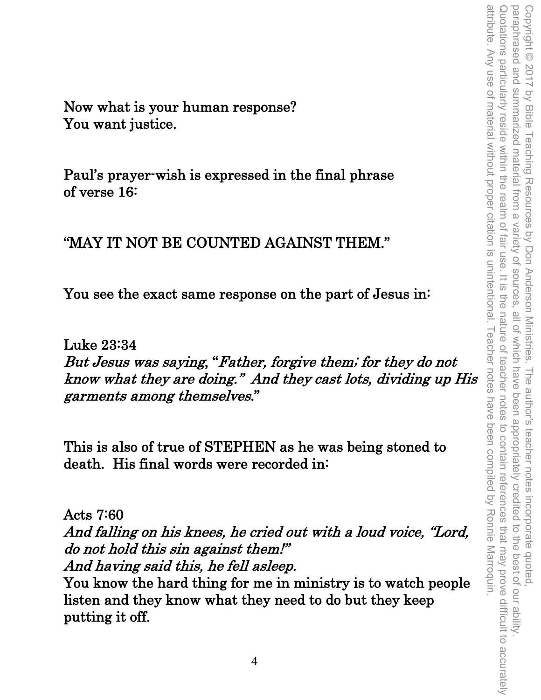Now what is your human response? You want justice.

Paul's prayer-wish is expressed in the final phrase of verse 16:

"MAY IT NOT BE COUNTED AGAINST THEM."

You see the exact same response on the part of Jesus in:

Luke 23:34 But Jesus was saying, "Father, forgive them; for they do not know what they are doing." And they cast lots, dividing up His garments among themselves."

Copyright © 2017 by Bible Teaching Resources by Don Anderson Ministries. The author's teacher notes incorporate quoted,

Copyright © 2017 by Bible Teaching Resources by Don Anderson Ministries. The author's teacher notes incorporate quoted

paraphrased and summarized material from a variety of sources, all of which have been appropriately credited to the best of our ability.

paraphrased and summarized material from a variety of sources, all of which have been appropriately credited to the best of our ability

Quotations particularly reside within the realm of fair use. It is the nature of teacher notes to contain references that may prove difficult to accurately

Quotations particularly reside within the realm of fair use. It is the nature of teacher notes to contain references that may prove difficult to accurately

attribute. Any use of material without proper citation is unintentional. Teacher notes have been compiled by Ronnie Marroquin attribute. Any use of material without proper citation is unintentional. Teacher notes have been compiled by Ronnie Marroquin.

This is also of true of STEPHEN as he was being stoned to death. His final words were recorded in:

Acts 7:60

And falling on his knees, he cried out with a loud voice, "Lord, do not hold this sin against them!"

And having said this, he fell asleep.

You know the hard thing for me in ministry is to watch people listen and they know what they need to do but they keep putting it off.

4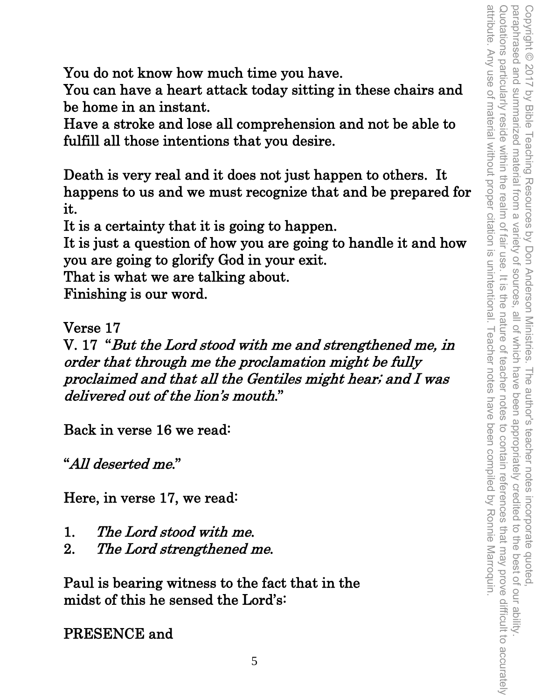You do not know how much time you have.

You can have a heart attack today sitting in these chairs and be home in an instant.

Have a stroke and lose all comprehension and not be able to fulfill all those intentions that you desire.

Death is very real and it does not just happen to others. It happens to us and we must recognize that and be prepared for it.

It is a certainty that it is going to happen.

It is just a question of how you are going to handle it and how you are going to glorify God in your exit.

That is what we are talking about.

Finishing is our word.

Verse 17

V. 17 "But the Lord stood with me and strengthened me, in order that through me the proclamation might be fully proclaimed and that all the Gentiles might hear; and I was delivered out of the lion's mouth."

Back in verse 16 we read:

"All deserted me."

Here, in verse 17, we read:

- 1. The Lord stood with me.
- 2. The Lord strengthened me.

Paul is bearing witness to the fact that in the midst of this he sensed the Lord's:

PRESENCE and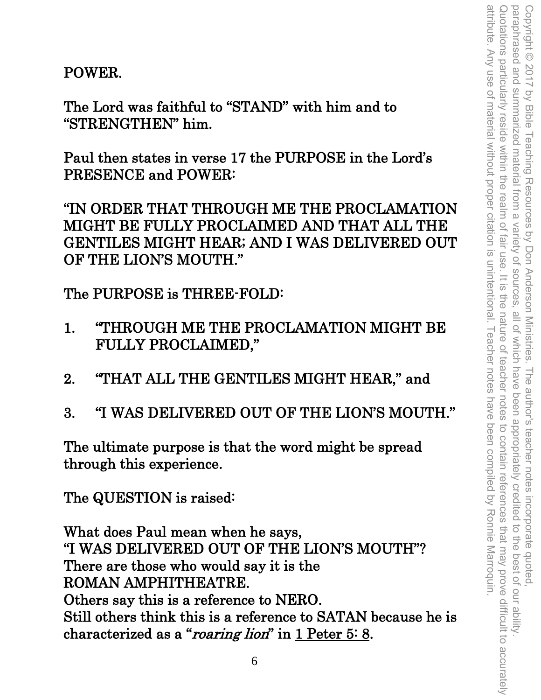attribute. Any use of material without proper citation is unintentional. Teacher notes have been compiled by Ronnie Marroquin Quotations particularly reside within the realm of fair use. It is the nature of teacher notes to contain references that may prove difficult to accurately Copyright © 2017 by Bible Teaching Resources by Don Anderson Ministries. The author's teacher notes incorporate quoted,<br>paraphrased and summarized material from a variety of sources, all of which have been appropriately c attribute. Any use of material without proper citation is unintentional. Teacher notes have been compiled by Ronnie Marroquin. Quotations particularly reside within the realm of fair use. It is the nature of teacher notes to contain references that may prove difficult to accurately paraphrased and summarized material from a variety of sources, all of which have been appropriately credited to the best of our ability. Copyright © 2017 by Bible Teaching Resources by Don Anderson Ministries. The author's teacher notes incorporate quoted,

POWER.

The Lord was faithful to "STAND" with him and to "STRENGTHEN" him.

Paul then states in verse 17 the PURPOSE in the Lord's PRESENCE and POWER:

"IN ORDER THAT THROUGH ME THE PROCLAMATION MIGHT BE FULLY PROCLAIMED AND THAT ALL THE GENTILES MIGHT HEAR; AND I WAS DELIVERED OUT OF THE LION'S MOUTH."

The PURPOSE is THREE-FOLD:

- 1. "THROUGH ME THE PROCLAMATION MIGHT BE FULLY PROCLAIMED,"
- 2. "THAT ALL THE GENTILES MIGHT HEAR," and
- 3. "I WAS DELIVERED OUT OF THE LION'S MOUTH."

The ultimate purpose is that the word might be spread through this experience.

The QUESTION is raised:

What does Paul mean when he says, "I WAS DELIVERED OUT OF THE LION'S MOUTH"? There are those who would say it is the ROMAN AMPHITHEATRE. Others say this is a reference to NERO. Still others think this is a reference to SATAN because he is characterized as a "roaring lion" in  $1$  Peter 5: 8.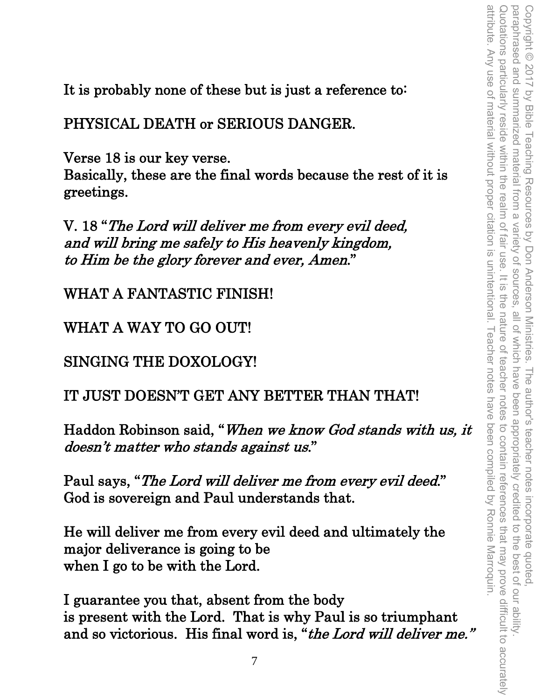It is probably none of these but is just a reference to:

PHYSICAL DEATH or SERIOUS DANGER.

Verse 18 is our key verse. Basically, these are the final words because the rest of it is greetings.

V. 18 "The Lord will deliver me from every evil deed, and will bring me safely to His heavenly kingdom, to Him be the glory forever and ever, Amen."

WHAT A FANTASTIC FINISH!

WHAT A WAY TO GO OUT!

SINGING THE DOXOLOGY!

# IT JUST DOESN'T GET ANY BETTER THAN THAT!

Haddon Robinson said, "When we know God stands with us, it doesn't matter who stands against us."

Paul says, "The Lord will deliver me from every evil deed." God is sovereign and Paul understands that.

He will deliver me from every evil deed and ultimately the major deliverance is going to be when I go to be with the Lord.

I guarantee you that, absent from the body is present with the Lord. That is why Paul is so triumphant and so victorious. His final word is, "the Lord will deliver me."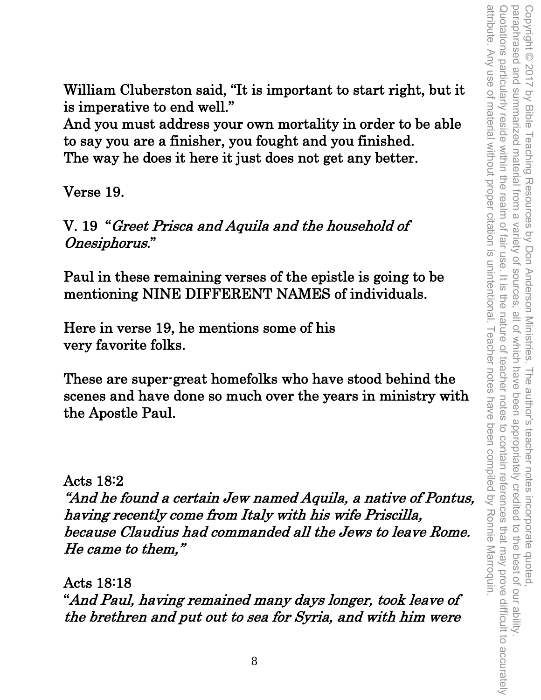William Cluberston said, "It is important to start right, but it is imperative to end well."

And you must address your own mortality in order to be able to say you are a finisher, you fought and you finished. The way he does it here it just does not get any better.

Verse 19.

V. 19 "Greet Prisca and Aquila and the household of Onesiphorus."

Paul in these remaining verses of the epistle is going to be mentioning NINE DIFFERENT NAMES of individuals.

Here in verse 19, he mentions some of his very favorite folks.

These are super-great homefolks who have stood behind the scenes and have done so much over the years in ministry with the Apostle Paul.

Acts 18:2

"And he found a certain Jew named Aquila, a native of Pontus, having recently come from Italy with his wife Priscilla, because Claudius had commanded all the Jews to leave Rome. He came to them,"

Acts 18:18 "And Paul, having remained many days longer, took leave of the brethren and put out to sea for Syria, and with him were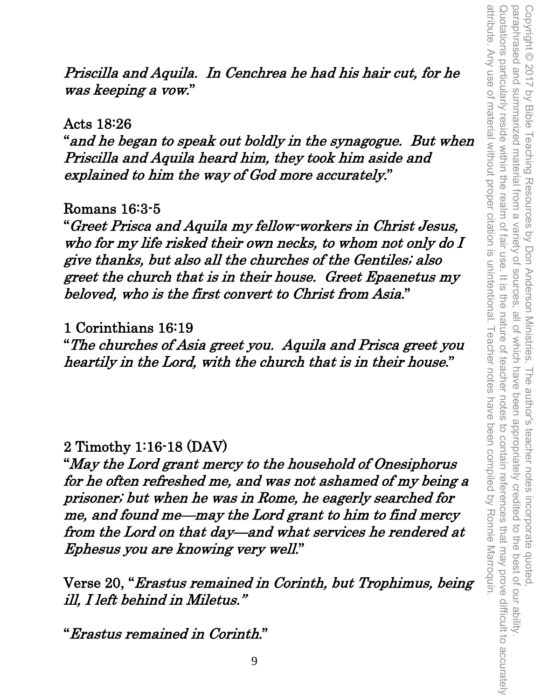Priscilla and Aquila. In Cenchrea he had his hair cut, for he was keeping a vow."

#### Acts 18:26

"and he began to speak out boldly in the synagogue. But when Priscilla and Aquila heard him, they took him aside and explained to him the way of God more accurately."

### Romans 16:3-5

"Greet Prisca and Aquila my fellow-workers in Christ Jesus, who for my life risked their own necks, to whom not only do I give thanks, but also all the churches of the Gentiles; also greet the church that is in their house. Greet Epaenetus my beloved, who is the first convert to Christ from Asia."

## 1 Corinthians 16:19

"The churches of Asia greet you. Aquila and Prisca greet you heartily in the Lord, with the church that is in their house."

### 2 Timothy 1:16-18 (DAV)

"May the Lord grant mercy to the household of Onesiphorus for he often refreshed me, and was not ashamed of my being a prisoner; but when he was in Rome, he eagerly searched for me, and found me—may the Lord grant to him to find mercy from the Lord on that day—and what services he rendered at Ephesus you are knowing very well."

Verse 20, "Erastus remained in Corinth, but Trophimus, being ill, I left behind in Miletus."

"Erastus remained in Corinth."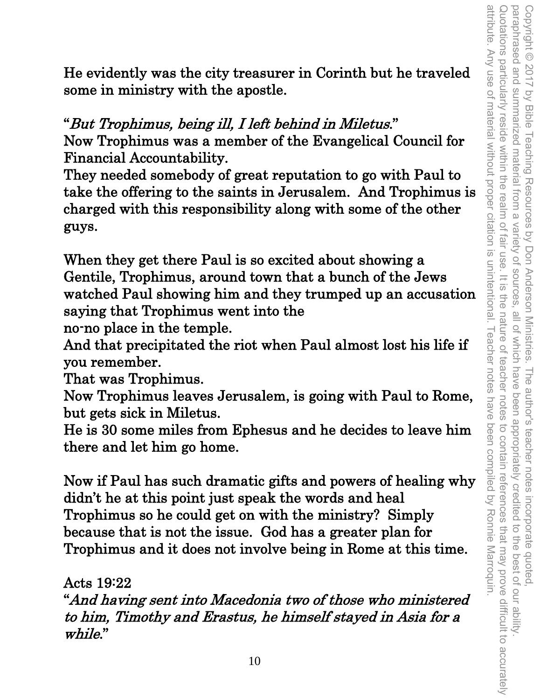He evidently was the city treasurer in Corinth but he traveled some in ministry with the apostle.

## "But Trophimus, being ill, I left behind in Miletus."

Now Trophimus was a member of the Evangelical Council for Financial Accountability.

They needed somebody of great reputation to go with Paul to take the offering to the saints in Jerusalem. And Trophimus is charged with this responsibility along with some of the other guys.

When they get there Paul is so excited about showing a Gentile, Trophimus, around town that a bunch of the Jews watched Paul showing him and they trumped up an accusation saying that Trophimus went into the no-no place in the temple.

And that precipitated the riot when Paul almost lost his life if you remember.

That was Trophimus.

Now Trophimus leaves Jerusalem, is going with Paul to Rome, but gets sick in Miletus.

He is 30 some miles from Ephesus and he decides to leave him there and let him go home.

Now if Paul has such dramatic gifts and powers of healing why didn't he at this point just speak the words and heal Trophimus so he could get on with the ministry? Simply because that is not the issue. God has a greater plan for Trophimus and it does not involve being in Rome at this time.

Acts 19:22

"And having sent into Macedonia two of those who ministered to him, Timothy and Erastus, he himself stayed in Asia for a while."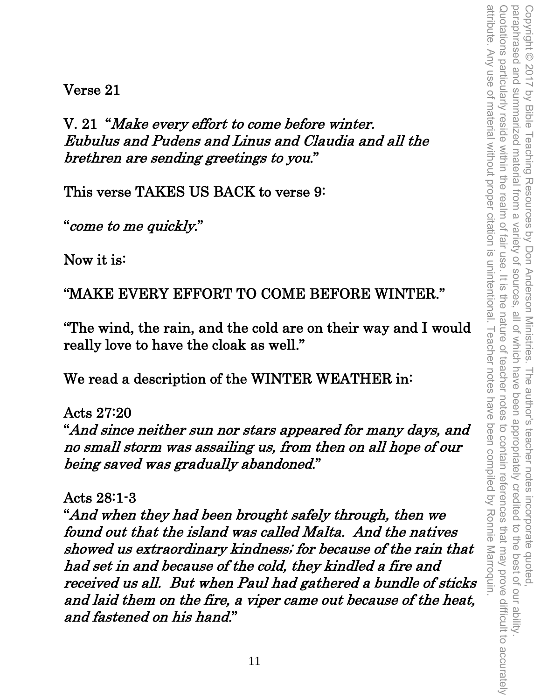Verse 21

V. 21 "Make every effort to come before winter. Eubulus and Pudens and Linus and Claudia and all the brethren are sending greetings to you."

This verse TAKES US BACK to verse 9:

"come to me quickly."

Now it is:

"MAKE EVERY EFFORT TO COME BEFORE WINTER."

"The wind, the rain, and the cold are on their way and I would really love to have the cloak as well."

We read a description of the WINTER WEATHER in:

Acts 27:20

"And since neither sun nor stars appeared for many days, and no small storm was assailing us, from then on all hope of our being saved was gradually abandoned."

Acts 28:1-3

"And when they had been brought safely through, then we found out that the island was called Malta. And the natives showed us extraordinary kindness; for because of the rain that had set in and because of the cold, they kindled a fire and received us all. But when Paul had gathered a bundle of sticks and laid them on the fire, a viper came out because of the heat, and fastened on his hand."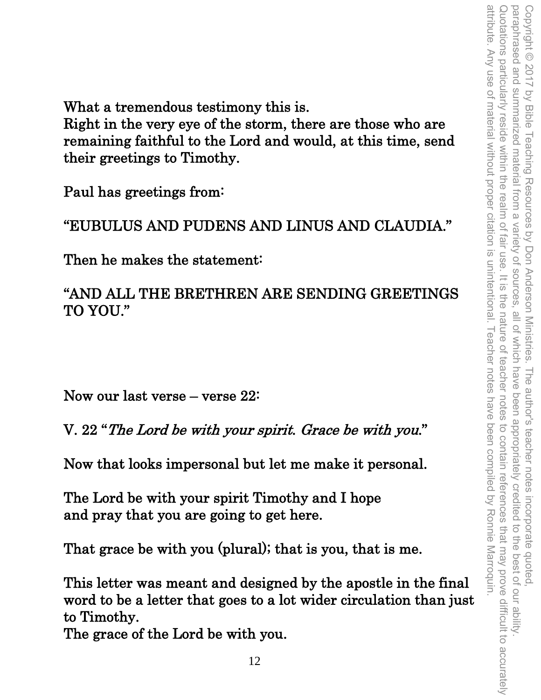What a tremendous testimony this is.

Right in the very eye of the storm, there are those who are remaining faithful to the Lord and would, at this time, send their greetings to Timothy.

Paul has greetings from:

"EUBULUS AND PUDENS AND LINUS AND CLAUDIA."

Then he makes the statement:

"AND ALL THE BRETHREN ARE SENDING GREETINGS TO YOU."

Now our last verse – verse 22:

V. 22 "The Lord be with your spirit. Grace be with you."

Now that looks impersonal but let me make it personal.

The Lord be with your spirit Timothy and I hope and pray that you are going to get here.

That grace be with you (plural); that is you, that is me.

This letter was meant and designed by the apostle in the final word to be a letter that goes to a lot wider circulation than just to Timothy.

The grace of the Lord be with you.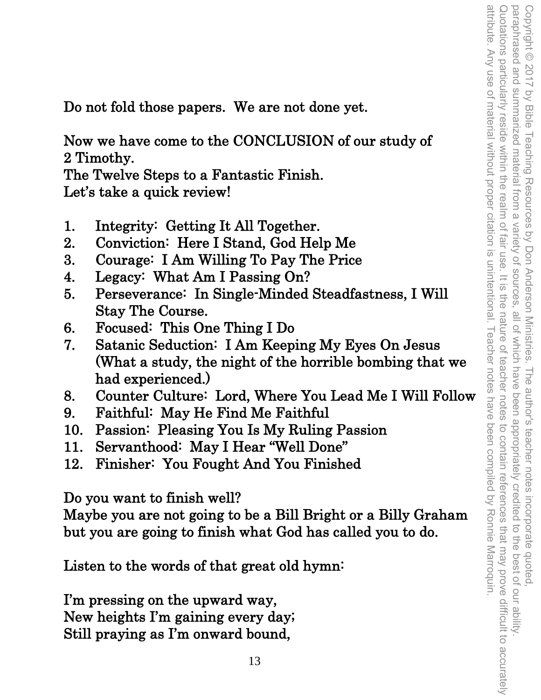attribute. Any use of material without proper citation is unintentional. Teacher notes have been compiled by Ronnie Marroquin Quotations particularly reside within the realm of fair use. It is the nature of teacher notes to contain references that may prove difficult to accurately Copyright © 2017 by Bible Teaching Resources by Don Anderson Ministries. The author's teacher notes incorporate quoted,<br>paraphrased and summarized material from a variety of sources, all of which have been appropriately cr attribute. Any use of material without proper citation is unintentional. Teacher notes have been compiled by Ronnie Marroquin. Quotations particularly reside within the realm of fair use. It is the nature of teacher notes to contain references that may prove difficult to accurately paraphrased and summarized material from a variety of sources, all of which have been appropriately credited to the best of our ability. Copyright © 2017 by Bible Teaching Resources by Don Anderson Ministries. The author's teacher notes incorporate quoted,

Do not fold those papers. We are not done yet.

Now we have come to the CONCLUSION of our study of 2 Timothy.

The Twelve Steps to a Fantastic Finish. Let's take a quick review!

- 1. Integrity: Getting It All Together.
- 2. Conviction: Here I Stand, God Help Me
- 3. Courage: I Am Willing To Pay The Price
- 4. Legacy: What Am I Passing On?
- 5. Perseverance: In Single-Minded Steadfastness, I Will Stay The Course.
- 6. Focused: This One Thing I Do
- 7. Satanic Seduction: I Am Keeping My Eyes On Jesus (What a study, the night of the horrible bombing that we had experienced.)
- 8. Counter Culture: Lord, Where You Lead Me I Will Follow
- 9. Faithful: May He Find Me Faithful
- 10. Passion: Pleasing You Is My Ruling Passion
- 11. Servanthood: May I Hear "Well Done"
- 12. Finisher: You Fought And You Finished

Do you want to finish well?

Maybe you are not going to be a Bill Bright or a Billy Graham but you are going to finish what God has called you to do.

Listen to the words of that great old hymn:

I'm pressing on the upward way, New heights I'm gaining every day; Still praying as I'm onward bound,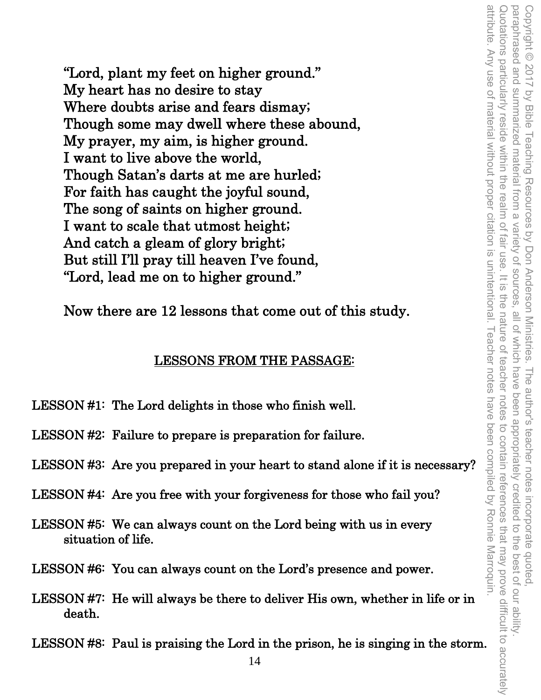"Lord, plant my feet on higher ground." My heart has no desire to stay Where doubts arise and fears dismay; Though some may dwell where these abound, My prayer, my aim, is higher ground. I want to live above the world, Though Satan's darts at me are hurled; For faith has caught the joyful sound, The song of saints on higher ground. I want to scale that utmost height; And catch a gleam of glory bright; But still I'll pray till heaven I've found, "Lord, lead me on to higher ground."

Now there are 12 lessons that come out of this study.

### LESSONS FROM THE PASSAGE:

- LESSON #1: The Lord delights in those who finish well.
- LESSON #2: Failure to prepare is preparation for failure.
- LESSON #3: Are you prepared in your heart to stand alone if it is necessary?
- LESSON #4: Are you free with your forgiveness for those who fail you?
- LESSON #5: We can always count on the Lord being with us in every situation of life.
- LESSON #6: You can always count on the Lord's presence and power.
- LESSON #7: He will always be there to deliver His own, whether in life or in death.

LESSON #8: Paul is praising the Lord in the prison, he is singing in the storm.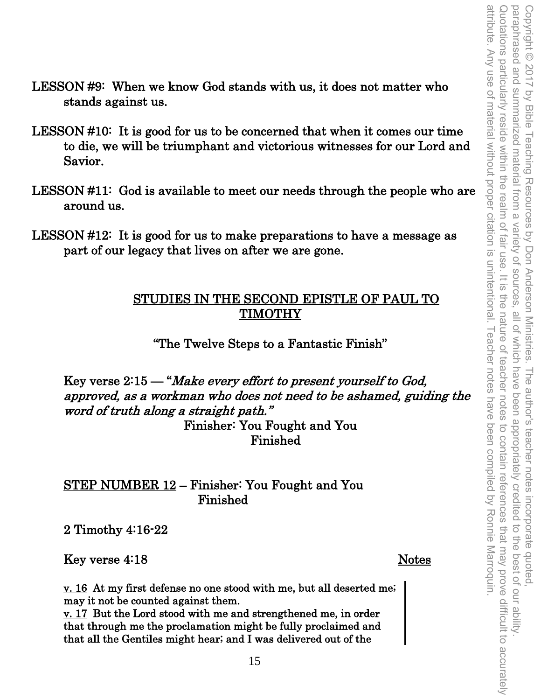- LESSON #9: When we know God stands with us, it does not matter who stands against us.
- LESSON #10: It is good for us to be concerned that when it comes our time to die, we will be triumphant and victorious witnesses for our Lord and Savior.
- LESSON #11: God is available to meet our needs through the people who are around us.
- LESSON #12: It is good for us to make preparations to have a message as part of our legacy that lives on after we are gone.

#### STUDIES IN THE SECOND EPISTLE OF PAUL TO TIMOTHY

"The Twelve Steps to a Fantastic Finish"

Key verse 2:15 — "Make every effort to present yourself to God, approved, as a workman who does not need to be ashamed, guiding the word of truth along a straight path." Finisher: You Fought and You

Finished

#### STEP NUMBER 12 – Finisher: You Fought and You Finished

2 Timothy 4:16-22

Key verse 4:18 Notes

v. 16 At my first defense no one stood with me, but all deserted me; may it not be counted against them.

v. 17 But the Lord stood with me and strengthened me, in order that through me the proclamation might be fully proclaimed and that all the Gentiles might hear; and I was delivered out of the